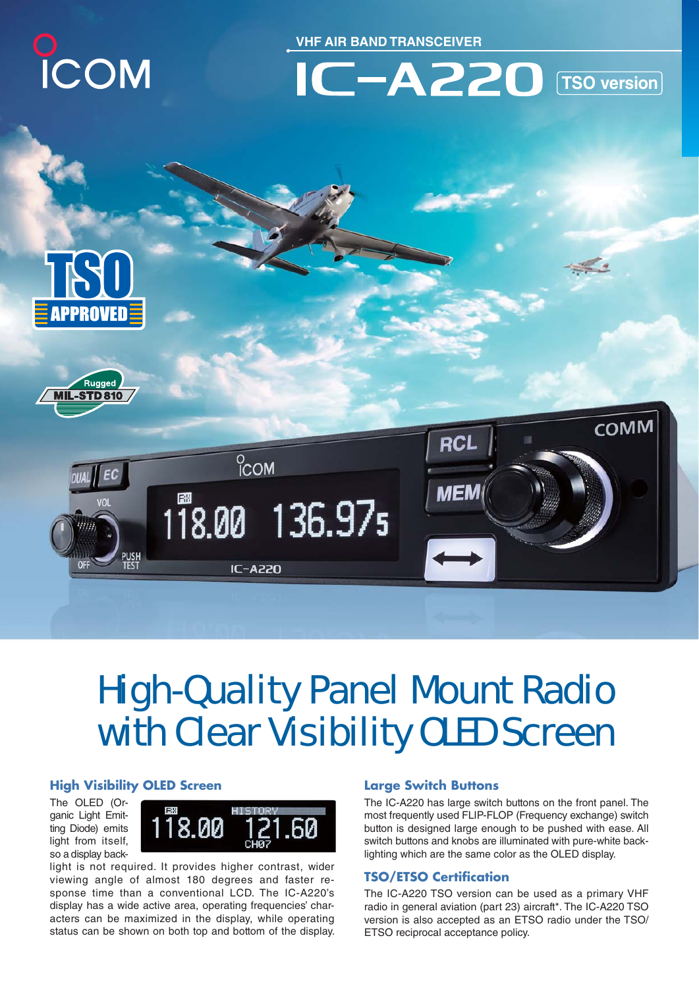

**VHF AIR BAND TRANSCEIVER**









# High-Quality Panel Mount Radio with Clear Visibility OLED Screen

## **High Visibility OLED Screen**

The OLED (Organic Light Emitting Diode) emits light from itself, so a display back-



light is not required. It provides higher contrast, wider viewing angle of almost 180 degrees and faster response time than a conventional LCD. The IC-A220's display has a wide active area, operating frequencies' characters can be maximized in the display, while operating status can be shown on both top and bottom of the display.

## **Large Switch Buttons**

The IC-A220 has large switch buttons on the front panel. The most frequently used FLIP-FLOP (Frequency exchange) switch button is designed large enough to be pushed with ease. All switch buttons and knobs are illuminated with pure-white backlighting which are the same color as the OLED display.

## **TSO/ETSO Certification**

The IC-A220 TSO version can be used as a primary VHF radio in general aviation (part 23) aircraft\*. The IC-A220 TSO version is also accepted as an ETSO radio under the TSO/ ETSO reciprocal acceptance policy.